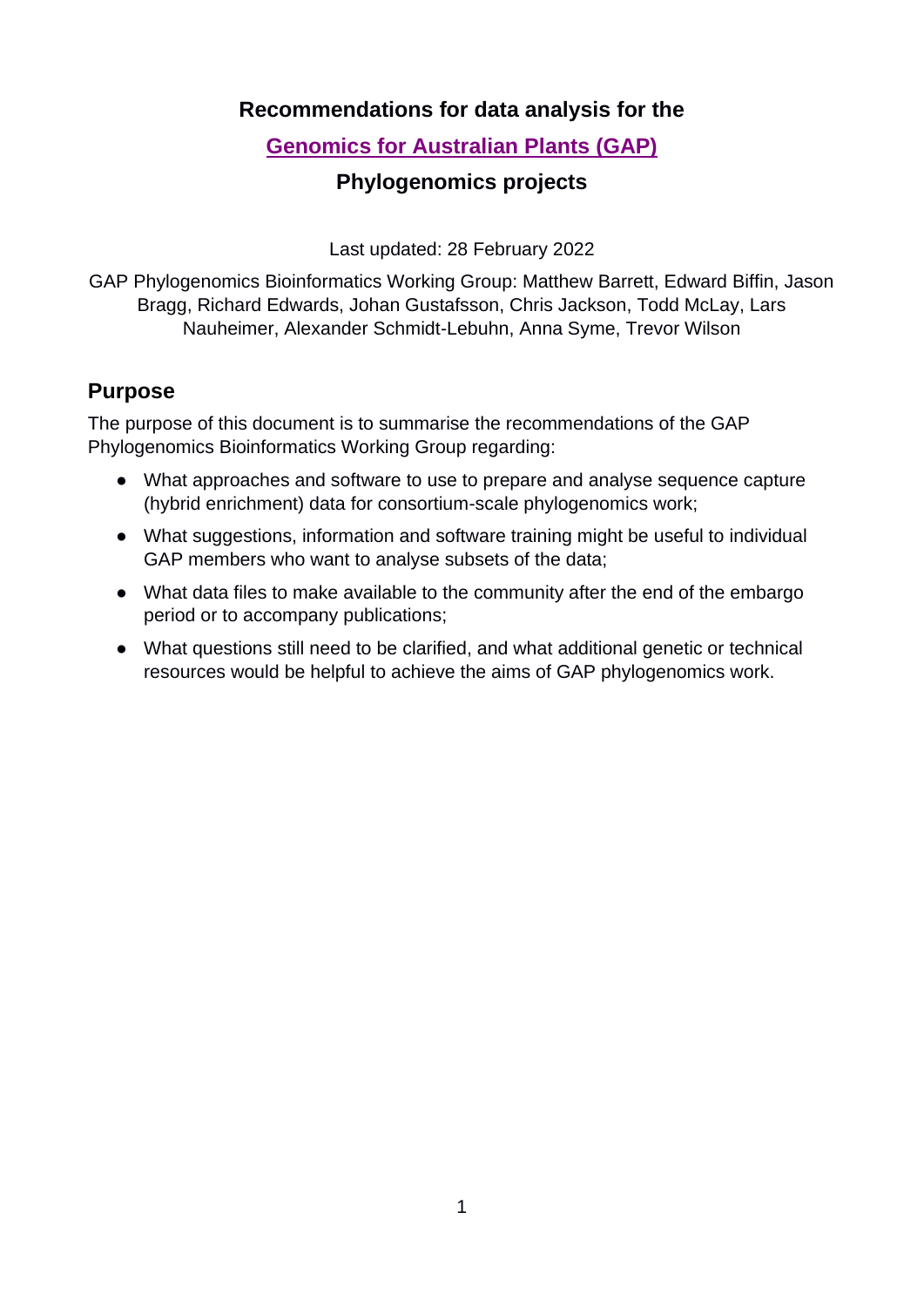### **Recommendations for data analysis for the**

# **[Genomics for Australian Plants](https://www.genomicsforaustralianplants.com/) (GAP)**

## **Phylogenomics projects**

Last updated: 28 February 2022

GAP Phylogenomics Bioinformatics Working Group: Matthew Barrett, Edward Biffin, Jason Bragg, Richard Edwards, Johan Gustafsson, Chris Jackson, Todd McLay, Lars Nauheimer, Alexander Schmidt-Lebuhn, Anna Syme, Trevor Wilson

#### **Purpose**

The purpose of this document is to summarise the recommendations of the GAP Phylogenomics Bioinformatics Working Group regarding:

- What approaches and software to use to prepare and analyse sequence capture (hybrid enrichment) data for consortium-scale phylogenomics work;
- What suggestions, information and software training might be useful to individual GAP members who want to analyse subsets of the data;
- What data files to make available to the community after the end of the embargo period or to accompany publications;
- What questions still need to be clarified, and what additional genetic or technical resources would be helpful to achieve the aims of GAP phylogenomics work.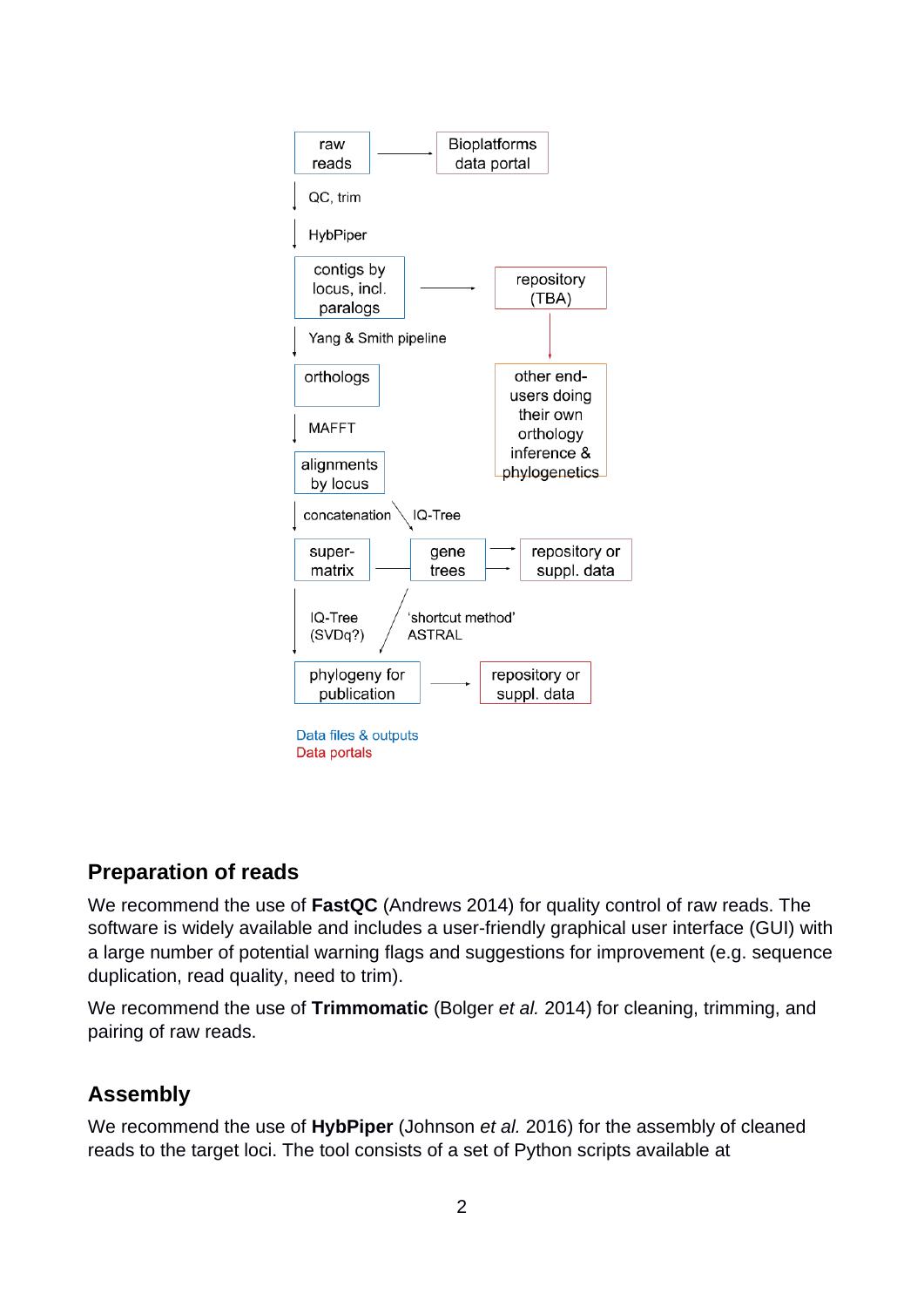

# **Preparation of reads**

We recommend the use of **FastQC** (Andrews 2014) for quality control of raw reads. The software is widely available and includes a user-friendly graphical user interface (GUI) with a large number of potential warning flags and suggestions for improvement (e.g. sequence duplication, read quality, need to trim).

We recommend the use of **Trimmomatic** (Bolger *et al.* 2014) for cleaning, trimming, and pairing of raw reads.

# **Assembly**

We recommend the use of **HybPiper** (Johnson *et al.* 2016) for the assembly of cleaned reads to the target loci. The tool consists of a set of Python scripts available at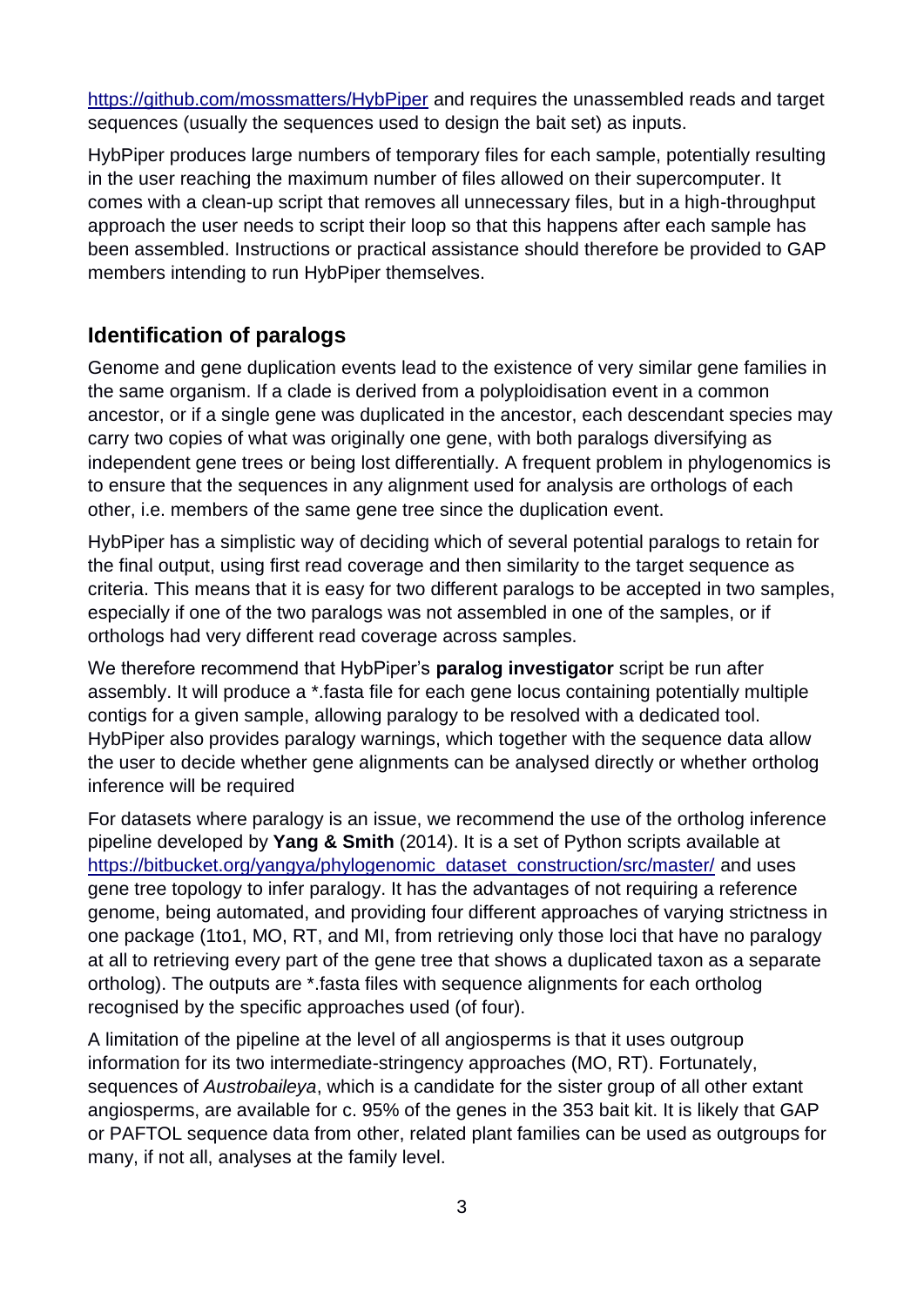<https://github.com/mossmatters/HybPiper> and requires the unassembled reads and target sequences (usually the sequences used to design the bait set) as inputs.

HybPiper produces large numbers of temporary files for each sample, potentially resulting in the user reaching the maximum number of files allowed on their supercomputer. It comes with a clean-up script that removes all unnecessary files, but in a high-throughput approach the user needs to script their loop so that this happens after each sample has been assembled. Instructions or practical assistance should therefore be provided to GAP members intending to run HybPiper themselves.

# **Identification of paralogs**

Genome and gene duplication events lead to the existence of very similar gene families in the same organism. If a clade is derived from a polyploidisation event in a common ancestor, or if a single gene was duplicated in the ancestor, each descendant species may carry two copies of what was originally one gene, with both paralogs diversifying as independent gene trees or being lost differentially. A frequent problem in phylogenomics is to ensure that the sequences in any alignment used for analysis are orthologs of each other, i.e. members of the same gene tree since the duplication event.

HybPiper has a simplistic way of deciding which of several potential paralogs to retain for the final output, using first read coverage and then similarity to the target sequence as criteria. This means that it is easy for two different paralogs to be accepted in two samples, especially if one of the two paralogs was not assembled in one of the samples, or if orthologs had very different read coverage across samples.

We therefore recommend that HybPiper's **paralog investigator** script be run after assembly. It will produce a \*.fasta file for each gene locus containing potentially multiple contigs for a given sample, allowing paralogy to be resolved with a dedicated tool. HybPiper also provides paralogy warnings, which together with the sequence data allow the user to decide whether gene alignments can be analysed directly or whether ortholog inference will be required

For datasets where paralogy is an issue, we recommend the use of the ortholog inference pipeline developed by **Yang & Smith** (2014). It is a set of Python scripts available at [https://bitbucket.org/yangya/phylogenomic\\_dataset\\_construction/src/master/](https://bitbucket.org/yangya/phylogenomic_dataset_construction/src/master/) and uses gene tree topology to infer paralogy. It has the advantages of not requiring a reference genome, being automated, and providing four different approaches of varying strictness in one package (1to1, MO, RT, and MI, from retrieving only those loci that have no paralogy at all to retrieving every part of the gene tree that shows a duplicated taxon as a separate ortholog). The outputs are \*.fasta files with sequence alignments for each ortholog recognised by the specific approaches used (of four).

A limitation of the pipeline at the level of all angiosperms is that it uses outgroup information for its two intermediate-stringency approaches (MO, RT). Fortunately, sequences of *Austrobaileya*, which is a candidate for the sister group of all other extant angiosperms, are available for c. 95% of the genes in the 353 bait kit. It is likely that GAP or PAFTOL sequence data from other, related plant families can be used as outgroups for many, if not all, analyses at the family level.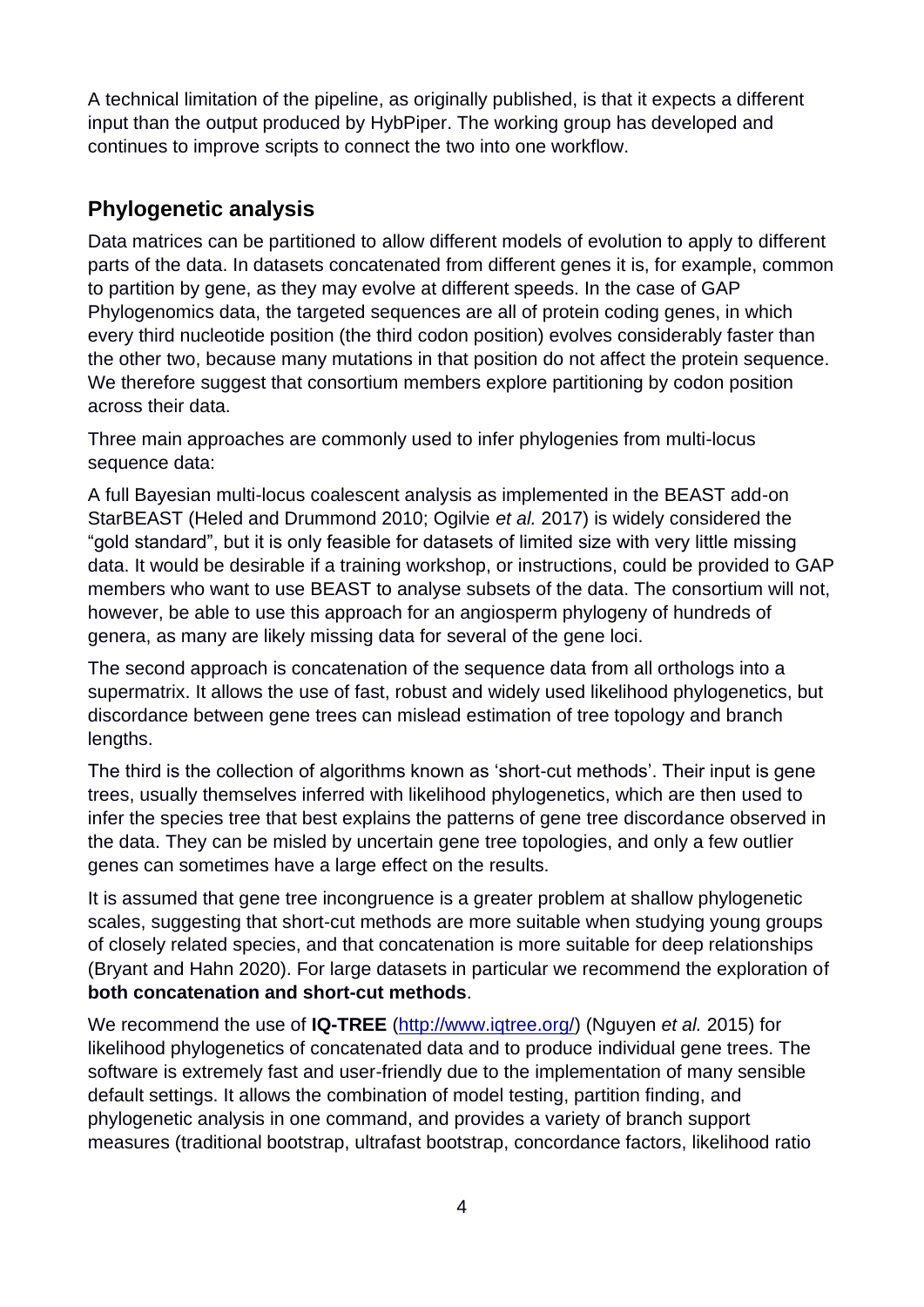A technical limitation of the pipeline, as originally published, is that it expects a different input than the output produced by HybPiper. The working group has developed and continues to improve scripts to connect the two into one workflow.

# **Phylogenetic analysis**

Data matrices can be partitioned to allow different models of evolution to apply to different parts of the data. In datasets concatenated from different genes it is, for example, common to partition by gene, as they may evolve at different speeds. In the case of GAP Phylogenomics data, the targeted sequences are all of protein coding genes, in which every third nucleotide position (the third codon position) evolves considerably faster than the other two, because many mutations in that position do not affect the protein sequence. We therefore suggest that consortium members explore partitioning by codon position across their data.

Three main approaches are commonly used to infer phylogenies from multi-locus sequence data:

A full Bayesian multi-locus coalescent analysis as implemented in the BEAST add-on StarBEAST (Heled and Drummond 2010; Ogilvie *et al.* 2017) is widely considered the "gold standard", but it is only feasible for datasets of limited size with very little missing data. It would be desirable if a training workshop, or instructions, could be provided to GAP members who want to use BEAST to analyse subsets of the data. The consortium will not, however, be able to use this approach for an angiosperm phylogeny of hundreds of genera, as many are likely missing data for several of the gene loci.

The second approach is concatenation of the sequence data from all orthologs into a supermatrix. It allows the use of fast, robust and widely used likelihood phylogenetics, but discordance between gene trees can mislead estimation of tree topology and branch lengths.

The third is the collection of algorithms known as 'short-cut methods'. Their input is gene trees, usually themselves inferred with likelihood phylogenetics, which are then used to infer the species tree that best explains the patterns of gene tree discordance observed in the data. They can be misled by uncertain gene tree topologies, and only a few outlier genes can sometimes have a large effect on the results.

It is assumed that gene tree incongruence is a greater problem at shallow phylogenetic scales, suggesting that short-cut methods are more suitable when studying young groups of closely related species, and that concatenation is more suitable for deep relationships (Bryant and Hahn 2020). For large datasets in particular we recommend the exploration of **both concatenation and short-cut methods**.

We recommend the use of **IQ-TREE** [\(http://www.iqtree.org/\)](http://www.iqtree.org/) (Nguyen *et al.* 2015) for likelihood phylogenetics of concatenated data and to produce individual gene trees. The software is extremely fast and user-friendly due to the implementation of many sensible default settings. It allows the combination of model testing, partition finding, and phylogenetic analysis in one command, and provides a variety of branch support measures (traditional bootstrap, ultrafast bootstrap, concordance factors, likelihood ratio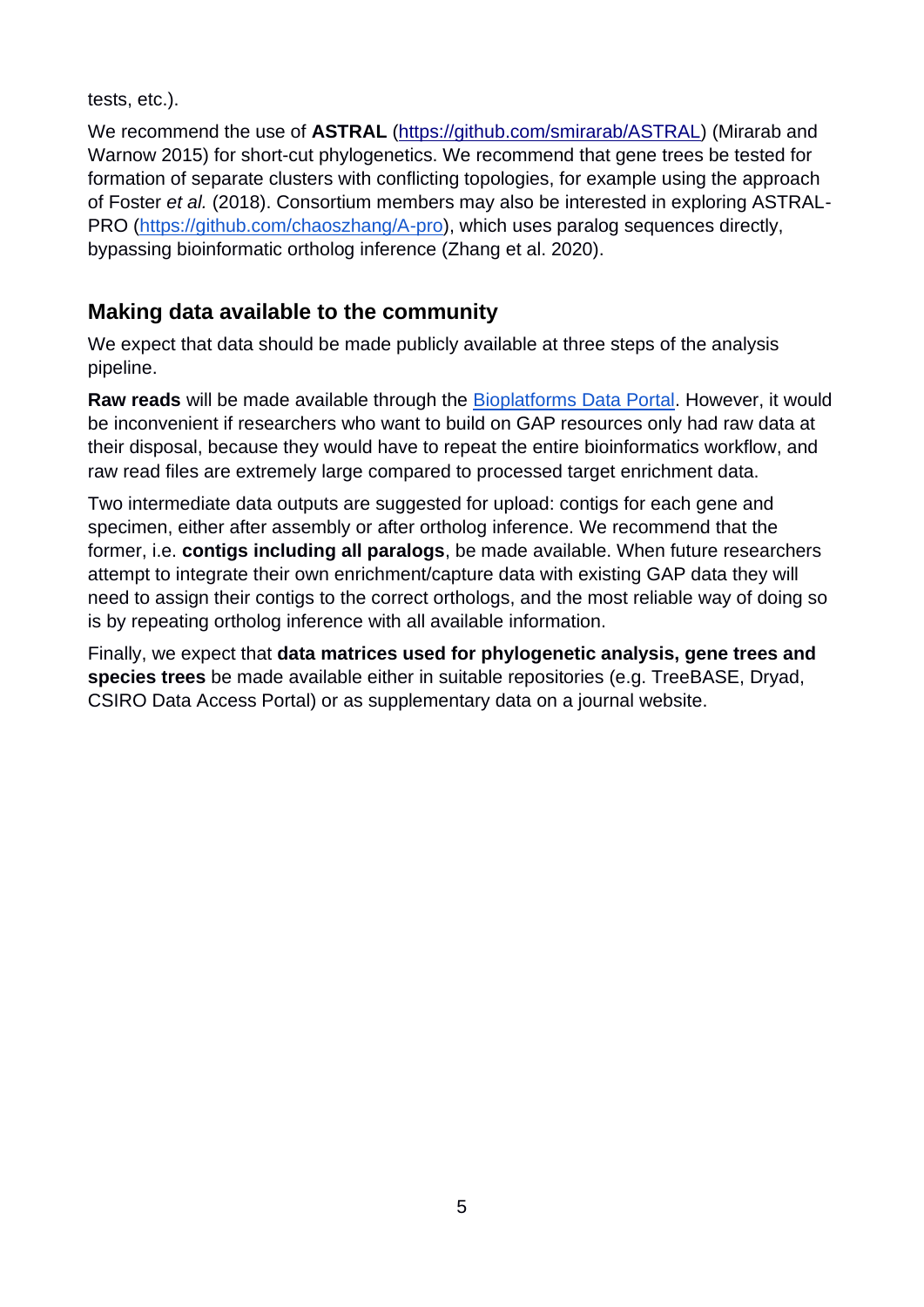tests, etc.).

We recommend the use of **ASTRAL** [\(https://github.com/smirarab/ASTRAL\)](https://github.com/smirarab/ASTRAL) (Mirarab and Warnow 2015) for short-cut phylogenetics. We recommend that gene trees be tested for formation of separate clusters with conflicting topologies, for example using the approach of Foster *et al.* (2018). Consortium members may also be interested in exploring ASTRAL-PRO [\(https://github.com/chaoszhang/A-pro\)](https://github.com/chaoszhang/A-pro), which uses paralog sequences directly, bypassing bioinformatic ortholog inference (Zhang et al. 2020).

## **Making data available to the community**

We expect that data should be made publicly available at three steps of the analysis pipeline.

**Raw reads** will be made available through the [Bioplatforms Data Portal.](https://data.bioplatforms.com/organization/about/bpa-plants) However, it would be inconvenient if researchers who want to build on GAP resources only had raw data at their disposal, because they would have to repeat the entire bioinformatics workflow, and raw read files are extremely large compared to processed target enrichment data.

Two intermediate data outputs are suggested for upload: contigs for each gene and specimen, either after assembly or after ortholog inference. We recommend that the former, i.e. **contigs including all paralogs**, be made available. When future researchers attempt to integrate their own enrichment/capture data with existing GAP data they will need to assign their contigs to the correct orthologs, and the most reliable way of doing so is by repeating ortholog inference with all available information.

Finally, we expect that **data matrices used for phylogenetic analysis, gene trees and species trees** be made available either in suitable repositories (e.g. TreeBASE, Dryad, CSIRO Data Access Portal) or as supplementary data on a journal website.